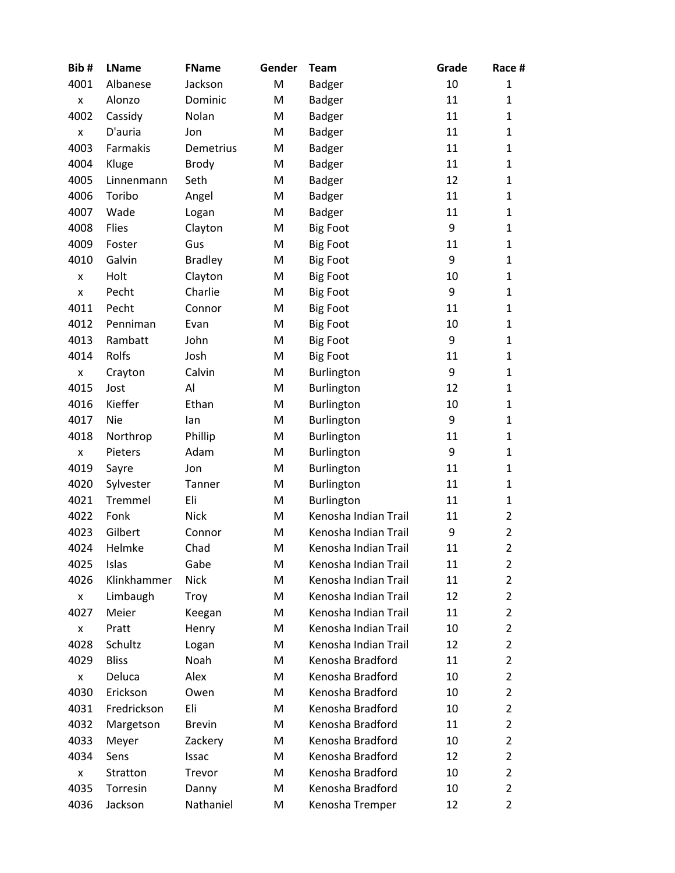| Bib#               | <b>LName</b> | <b>FName</b>   | Gender | <b>Team</b>          | Grade | Race #         |
|--------------------|--------------|----------------|--------|----------------------|-------|----------------|
| 4001               | Albanese     | Jackson        | M      | <b>Badger</b>        | 10    | 1              |
| X                  | Alonzo       | Dominic        | M      | <b>Badger</b>        | 11    | $\mathbf{1}$   |
| 4002               | Cassidy      | Nolan          | M      | <b>Badger</b>        | 11    | 1              |
| $\pmb{\mathsf{X}}$ | D'auria      | Jon            | M      | <b>Badger</b>        | 11    | $\mathbf{1}$   |
| 4003               | Farmakis     | Demetrius      | M      | <b>Badger</b>        | 11    | $\mathbf{1}$   |
| 4004               | Kluge        | <b>Brody</b>   | M      | <b>Badger</b>        | 11    | 1              |
| 4005               | Linnenmann   | Seth           | M      | <b>Badger</b>        | 12    | $\mathbf{1}$   |
| 4006               | Toribo       | Angel          | M      | <b>Badger</b>        | 11    | $\mathbf{1}$   |
| 4007               | Wade         | Logan          | M      | <b>Badger</b>        | 11    | 1              |
| 4008               | Flies        | Clayton        | M      | <b>Big Foot</b>      | 9     | 1              |
| 4009               | Foster       | Gus            | M      | <b>Big Foot</b>      | 11    | $\mathbf{1}$   |
| 4010               | Galvin       | <b>Bradley</b> | M      | <b>Big Foot</b>      | 9     | $\mathbf{1}$   |
| X                  | Holt         | Clayton        | M      | <b>Big Foot</b>      | 10    | 1              |
| $\pmb{\mathsf{x}}$ | Pecht        | Charlie        | M      | <b>Big Foot</b>      | 9     | $\mathbf{1}$   |
| 4011               | Pecht        | Connor         | M      | <b>Big Foot</b>      | 11    | 1              |
| 4012               | Penniman     | Evan           | M      | <b>Big Foot</b>      | 10    | $\mathbf{1}$   |
| 4013               | Rambatt      | John           | M      | <b>Big Foot</b>      | 9     | $\mathbf{1}$   |
| 4014               | Rolfs        | Josh           | M      | <b>Big Foot</b>      | 11    | 1              |
| x                  | Crayton      | Calvin         | M      | Burlington           | 9     | 1              |
| 4015               | Jost         | Al             | M      | Burlington           | 12    | $\mathbf{1}$   |
| 4016               | Kieffer      | Ethan          | M      | Burlington           | 10    | $\mathbf{1}$   |
| 4017               | <b>Nie</b>   | lan            | M      | Burlington           | 9     | $\mathbf{1}$   |
| 4018               | Northrop     | Phillip        | M      | Burlington           | 11    | $\mathbf{1}$   |
| X                  | Pieters      | Adam           | M      | Burlington           | 9     | $\mathbf{1}$   |
| 4019               | Sayre        | Jon            | M      | Burlington           | 11    | 1              |
| 4020               | Sylvester    | Tanner         | M      | Burlington           | 11    | $\mathbf{1}$   |
| 4021               | Tremmel      | Eli            | M      | Burlington           | 11    | $\mathbf{1}$   |
| 4022               | Fonk         | <b>Nick</b>    | M      | Kenosha Indian Trail | 11    | $\overline{2}$ |
| 4023               | Gilbert      | Connor         | M      | Kenosha Indian Trail | 9     | $\overline{2}$ |
| 4024               | Helmke       | Chad           | M      | Kenosha Indian Trail | 11    | $\overline{2}$ |
| 4025               | Islas        | Gabe           | м      | Kenosha Indian Trail | 11    | 2              |
| 4026               | Klinkhammer  | <b>Nick</b>    | M      | Kenosha Indian Trail | 11    | 2              |
| X                  | Limbaugh     | Troy           | M      | Kenosha Indian Trail | 12    | $\overline{2}$ |
| 4027               | Meier        | Keegan         | M      | Kenosha Indian Trail | 11    | $\overline{2}$ |
| X                  | Pratt        | Henry          | M      | Kenosha Indian Trail | 10    | $\overline{2}$ |
| 4028               | Schultz      | Logan          | м      | Kenosha Indian Trail | 12    | 2              |
| 4029               | <b>Bliss</b> | Noah           | м      | Kenosha Bradford     | 11    | 2              |
| x                  | Deluca       | Alex           | M      | Kenosha Bradford     | 10    | $\overline{2}$ |
| 4030               | Erickson     | Owen           | м      | Kenosha Bradford     | 10    | 2              |
| 4031               | Fredrickson  | Eli            | м      | Kenosha Bradford     | 10    | 2              |
| 4032               | Margetson    | <b>Brevin</b>  | M      | Kenosha Bradford     | 11    | 2              |
| 4033               | Meyer        | Zackery        | M      | Kenosha Bradford     | 10    | $\overline{2}$ |
| 4034               | Sens         | Issac          | м      | Kenosha Bradford     | 12    | $\overline{2}$ |
| X                  | Stratton     | Trevor         | M      | Kenosha Bradford     | 10    | $\overline{2}$ |
| 4035               | Torresin     | Danny          | M      | Kenosha Bradford     | 10    | $\overline{2}$ |
| 4036               | Jackson      | Nathaniel      | M      | Kenosha Tremper      | 12    | $\overline{2}$ |